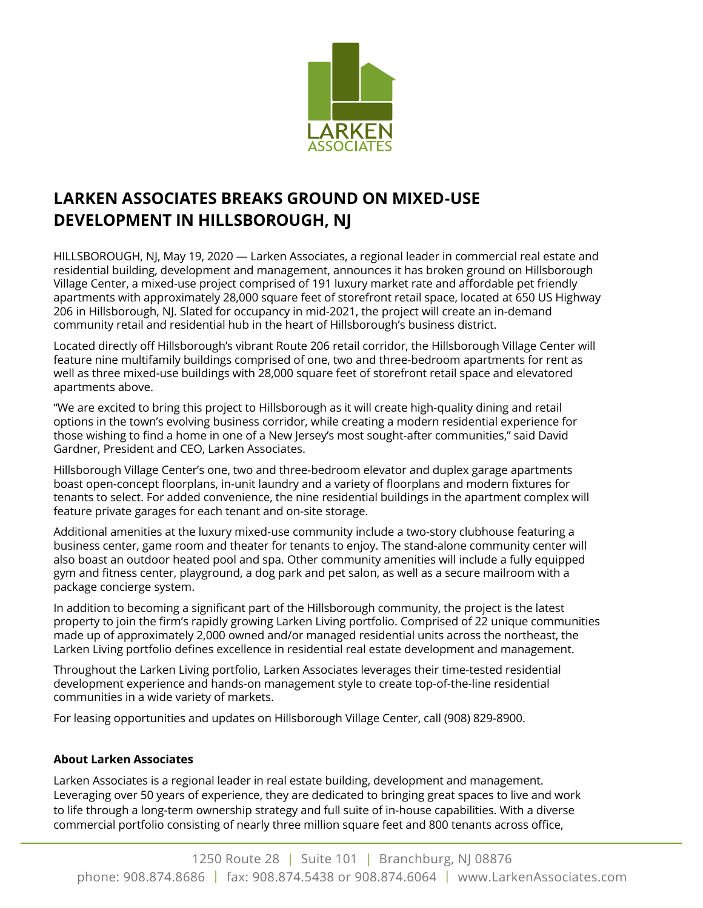

## **LARKEN ASSOCIATES BREAKS GROUND ON MIXED-USE DEVELOPMENT IN HILLSBOROUGH, NJ**

HILLSBOROUGH, NJ, May 19, 2020 — Larken Associates, a regional leader in commercial real estate and residential building, development and management, announces it has broken ground on Hillsborough Village Center, a mixed-use project comprised of 191 luxury market rate and affordable pet friendly apartments with approximately 28,000 square feet of storefront retail space, located at 650 US Highway 206 in Hillsborough, NJ. Slated for occupancy in mid-2021, the project will create an in-demand community retail and residential hub in the heart of Hillsborough's business district.

Located directly off Hillsborough's vibrant Route 206 retail corridor, the Hillsborough Village Center will feature nine multifamily buildings comprised of one, two and three-bedroom apartments for rent as well as three mixed-use buildings with 28,000 square feet of storefront retail space and elevatored apartments above.

"We are excited to bring this project to Hillsborough as it will create high-quality dining and retail options in the town's evolving business corridor, while creating a modern residential experience for those wishing to find a home in one of a New Jersey's most sought-after communities," said David Gardner, President and CEO, Larken Associates.

Hillsborough Village Center's one, two and three-bedroom elevator and duplex garage apartments boast open-concept floorplans, in-unit laundry and a variety of floorplans and modern fixtures for tenants to select. For added convenience, the nine residential buildings in the apartment complex will feature private garages for each tenant and on-site storage.

Additional amenities at the luxury mixed-use community include a two-story clubhouse featuring a business center, game room and theater for tenants to enjoy. The stand-alone community center will also boast an outdoor heated pool and spa. Other community amenities will include a fully equipped gym and fitness center, playground, a dog park and pet salon, as well as a secure mailroom with a package concierge system.

In addition to becoming a significant part of the Hillsborough community, the project is the latest property to join the firm's rapidly growing Larken Living portfolio. Comprised of 22 unique communities made up of approximately 2,000 owned and/or managed residential units across the northeast, the Larken Living portfolio defines excellence in residential real estate development and management.

Throughout the Larken Living portfolio, Larken Associates leverages their time-tested residential development experience and hands-on management style to create top-of-the-line residential communities in a wide variety of markets.

For leasing opportunities and updates on Hillsborough Village Center, call (908) 829-8900.

## **About Larken Associates**

Larken Associates is a regional leader in real estate building, development and management. Leveraging over 50 years of experience, they are dedicated to bringing great spaces to live and work to life through a long-term ownership strategy and full suite of in-house capabilities. With a diverse commercial portfolio consisting of nearly three million square feet and 800 tenants across office,